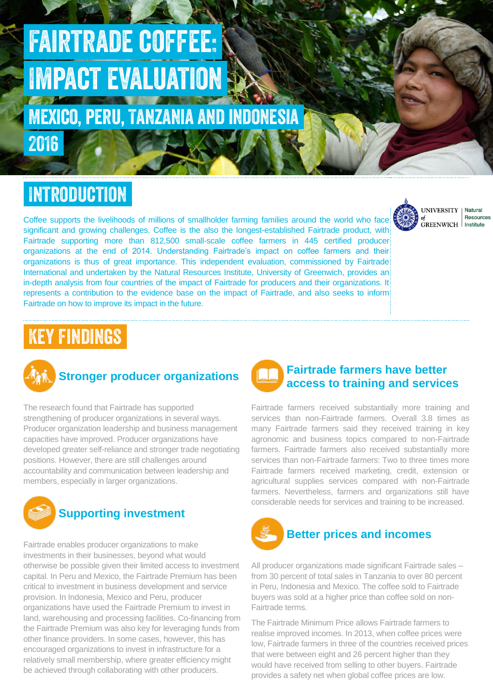# Fairtrade coffee: Impact evaluation

Mexico, peru, Tanzania and indonesia

# Introduction

2016

Coffee supports the livelihoods of millions of smallholder farming families around the world who face significant and growing challenges. Coffee is the also the longest-established Fairtrade product, with Fairtrade supporting more than 812,500 small-scale coffee farmers in 445 certified producer organizations at the end of 2014. Understanding Fairtrade's impact on coffee farmers and their organizations is thus of great importance. This independent evaluation, commissioned by Fairtrade International and undertaken by the Natural Resources Institute, University of Greenwich, provides an in-depth analysis from four countries of the impact of Fairtrade for producers and their organizations. It represents a contribution to the evidence base on the impact of Fairtrade, and also seeks to inform Fairtrade on how to improve its impact in the future.

# Key findings



#### **Stronger producer organizations**

The research found that Fairtrade has supported strengthening of producer organizations in several ways. Producer organization leadership and business management capacities have improved. Producer organizations have developed greater self-reliance and stronger trade negotiating positions. However, there are still challenges around accountability and communication between leadership and members, especially in larger organizations.



Fairtrade enables producer organizations to make investments in their businesses, beyond what would otherwise be possible given their limited access to investment capital. In Peru and Mexico, the Fairtrade Premium has been critical to investment in business development and service provision. In Indonesia, Mexico and Peru, producer organizations have used the Fairtrade Premium to invest in land, warehousing and processing facilities. Co-financing from the Fairtrade Premium was also key for leveraging funds from other finance providers. In some cases, however, this has encouraged organizations to invest in infrastructure for a relatively small membership, where greater efficiency might be achieved through collaborating with other producers.

### **Fairtrade farmers have better access to training and services**

Fairtrade farmers received substantially more training and services than non-Fairtrade farmers. Overall 3.8 times as many Fairtrade farmers said they received training in key agronomic and business topics compared to non-Fairtrade farmers. Fairtrade farmers also received substantially more services than non-Fairtrade farmers: Two to three times more Fairtrade farmers received marketing, credit, extension or agricultural supplies services compared with non-Fairtrade farmers. Nevertheless, farmers and organizations still have considerable needs for services and training to be increased.



All producer organizations made significant Fairtrade sales – from 30 percent of total sales in Tanzania to over 80 percent in Peru, Indonesia and Mexico. The coffee sold to Fairtrade buyers was sold at a higher price than coffee sold on non-Fairtrade terms.

The Fairtrade Minimum Price allows Fairtrade farmers to realise improved incomes. In 2013, when coffee prices were low, Fairtrade farmers in three of the countries received prices that were between eight and 26 percent higher than they would have received from selling to other buyers. Fairtrade provides a safety net when global coffee prices are low.



**Natural Resources** Institute